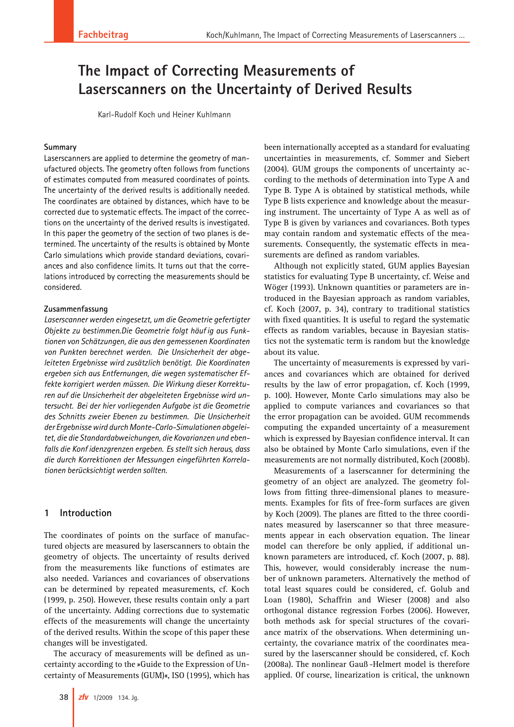# **The Impact of Correcting Measurements of state in pact of our compared Stream and Response Results Laserscanners on the Uncertainty of Derived Results**

Karl-Rudolf Koch und Heiner Kuhlmann

#### **Summary**

Laserscanners are applied to determine the geometry of manufactured objects. The geometry often follows from functions of estimates computed from measured coordinates of points. The uncertainty of the derived results is additionally needed. The coordinates are obtained by distances, which have to be corrected due to systematic effects. The impact of the corrections on the uncertainty of the derived results is investigated. In this paper the geometry of the section of two planes is determined. The uncertainty of the results is obtained by Monte Carlo simulations which provide standard deviations, covariances and also confidence limits. It turns out that the correlations introduced by correcting the measurements should be considered.

#### **Zusammenfassung**

*Laserscanner werden eingesetzt, um die Geometrie gefertigter Objekte zu bestimmen.Die Geometrie folgt häuf ig aus Funktionen von Schätzungen, die aus den gemessenen Koordinaten von Punkten berechnet werden. Die Unsicherheit der abgeleiteten Ergebnisse wird zusätzlich benötigt. Die Koordinaten ergeben sich aus Entfernungen, die wegen systematischer Effekte korrigiert werden müssen. Die Wirkung dieser Korrekturen auf die Unsicherheit der abgeleiteten Ergebnisse wird untersucht. Bei der hier vorliegenden Aufgabe ist die Geometrie des Schnitts zweier Ebenen zu bestimmen. Die Unsicherheit der Ergebnisse wird durch Monte-Carlo-Simulationen abgeleitet, die die Standardabweichungen, die Kovarianzen und ebenfalls die Konf idenzgrenzen ergeben. Es stellt sich heraus, dass die durch Korrektionen der Messungen eingeführten Korrelationen berücksichtigt werden sollten.*

### **1 Introduction**

The coordinates of points on the surface of manufactured objects are measured by laserscanners to obtain the geometry of objects. The uncertainty of results derived from the measurements like functions of estimates are also needed. Variances and covariances of observations can be determined by repeated measurements, cf. Koch (1999, p. 250). However, these results contain only a part of the uncertainty. Adding corrections due to systematic effects of the measurements will change the uncertainty of the derived results. Within the scope of this paper these changes will be investigated.

The accuracy of measurements will be defined as uncertainty according to the »Guide to the Expression of Uncertainty of Measurements (GUM)«, ISO (1995), which has been internationally accepted as a standard for evaluating uncertainties in measurements, cf. Sommer and Siebert (2004). GUM groups the components of uncertainty according to the methods of determination into Type A and Type B. Type A is obtained by statistical methods, while Type B lists experience and knowledge about the measuring instrument. The uncertainty of Type A as well as of Type B is given by variances and covariances. Both types may contain random and systematic effects of the measurements. Consequently, the systematic effects in measurements are defined as random variables.

Although not explicitly stated, GUM applies Bayesian statistics for evaluating Type B uncertainty, cf. Weise and Wöger (1993). Unknown quantities or parameters are introduced in the Bayesian approach as random variables, cf. Koch (2007, p. 34), contrary to traditional statistics with fixed quantities. It is useful to regard the systematic effects as random variables, because in Bayesian statistics not the systematic term is random but the knowledge about its value.

The uncertainty of measurements is expressed by variances and covariances which are obtained for derived results by the law of error propagation, cf. Koch (1999, p. 100). However, Monte Carlo simulations may also be applied to compute variances and covariances so that the error propagation can be avoided. GUM recommends computing the expanded uncertainty of a measurement which is expressed by Bayesian confidence interval. It can also be obtained by Monte Carlo simulations, even if the measurements are not normally distributed, Koch (2008b).

Measurements of a laserscanner for determining the geometry of an object are analyzed. The geometry follows from fitting three-dimensional planes to measurements. Examples for fits of free-form surfaces are given by Koch (2009). The planes are fitted to the three coordinates measured by laserscanner so that three measurements appear in each observation equation. The linear model can therefore be only applied, if additional unknown parameters are introduced, cf. Koch (2007, p. 88). This, however, would considerably increase the number of unknown parameters. Alternatively the method of total least squares could be considered, cf. Golub and Loan (1980), Schaffrin and Wieser (2008) and also orthogonal distance regression Forbes (2006). However, both methods ask for special structures of the covariance matrix of the observations. When determining uncertainty, the covariance matrix of the coordinates measured by the laserscanner should be considered, cf. Koch (2008a). The nonlinear Gauß -Helmert model is therefore applied. Of course, linearization is critical, the unknown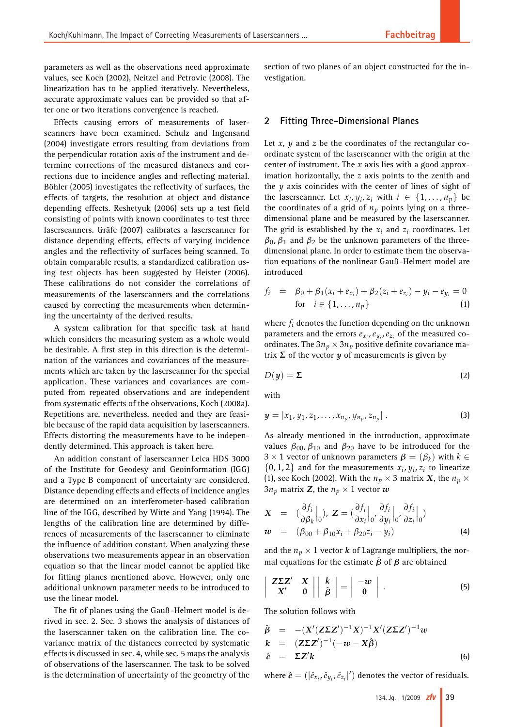parameters as well as the observations need approximate values, see Koch (2002), Neitzel and Petrovic (2008). The linearization has to be applied iteratively. Nevertheless, accurate approximate values can be provided so that after one or two iterations convergence is reached.

Effects causing errors of measurements of laserscanners have been examined. Schulz and Ingensand (2004) investigate errors resulting from deviations from the perpendicular rotation axis of the instrument and determine corrections of the measured distances and corrections due to incidence angles and reflecting material. Böhler (2005) investigates the reflectivity of surfaces, the effects of targets, the resolution at object and distance depending effects. Reshetyuk (2006) sets up a test field consisting of points with known coordinates to test three laserscanners. Gräfe (2007) calibrates a laserscanner for distance depending effects, effects of varying incidence angles and the reflectivity of surfaces being scanned. To obtain comparable results, a standardized calibration using test objects has been suggested by Heister (2006). These calibrations do not consider the correlations of measurements of the laserscanners and the correlations caused by correcting the measurements when determining the uncertainty of the derived results.

A system calibration for that specific task at hand which considers the measuring system as a whole would be desirable. A first step in this direction is the determination of the variances and covariances of the measurements which are taken by the laserscanner for the special application. These variances and covariances are computed from repeated observations and are independent from systematic effects of the observations, Koch (2008a). Repetitions are, nevertheless, needed and they are feasible because of the rapid data acquisition by laserscanners. Effects distorting the measurements have to be independently determined. This approach is taken here.

An addition constant of laserscanner Leica HDS 3000 of the Institute for Geodesy and Geoinformation (IGG) and a Type B component of uncertainty are considered. Distance depending effects and effects of incidence angles are determined on an interferometer-based calibration line of the IGG, described by Witte and Yang (1994). The lengths of the calibration line are determined by differences of measurements of the laserscanner to eliminate the influence of addition constant. When analyzing these observations two measurements appear in an observation equation so that the linear model cannot be applied like for fitting planes mentioned above. However, only one additional unknown parameter needs to be introduced to use the linear model.

The fit of planes using the Gauß -Helmert model is derived in sec. 2. Sec. 3 shows the analysis of distances of the laserscanner taken on the calibration line. The covariance matrix of the distances corrected by systematic effects is discussed in sec. 4, while sec. 5 maps the analysis of observations of the laserscanner. The task to be solved is the determination of uncertainty of the geometry of the

section of two planes of an object constructed for the investigation.

## **2 Fitting Three-Dimensional Planes**

Let *x*, *y* and *z* be the coordinates of the rectangular coordinate system of the laserscanner with the origin at the center of instrument. The *x* axis lies with a good approximation horizontally, the *z* axis points to the zenith and the *y* axis coincides with the center of lines of sight of the laserscanner. Let  $x_i$ ,  $y_i$ ,  $z_i$  with  $i \in \{1, \ldots, n_p\}$  be the coordinates of a grid of  $n_p$  points lying on a threedimensional plane and be measured by the laserscanner. The grid is established by the  $x_i$  and  $z_i$  coordinates. Let  $\beta_0$ ,  $\beta_1$  and  $\beta_2$  be the unknown parameters of the threedimensional plane. In order to estimate them the observation equations of the nonlinear Gauß -Helmert model are introduced

$$
f_i = \beta_0 + \beta_1(x_i + e_{x_i}) + \beta_2(z_i + e_{z_i}) - y_i - e_{y_i} = 0
$$
  
for  $i \in \{1, ..., n_p\}$  (1)

where *fi* denotes the function depending on the unknown parameters and the errors  $e_{x_i}$ ,  $e_{y_i}$ ,  $e_{z_i}$  of the measured coordinates. The  $3n_p \times 3n_p$  positive definite covariance matrix  $\Sigma$  of the vector  $y$  of measurements is given by

$$
D(y) = \Sigma
$$
 (2)

with

$$
y = |x_1, y_1, z_1, \dots, x_{n_p}, y_{n_p}, z_{n_p}|.
$$
 (3)

As already mentioned in the introduction, approximate values  $\beta_{00}$ ,  $\beta_{10}$  and  $\beta_{20}$  have to be introduced for the  $3 \times 1$  vector of unknown parameters  $\beta = (\beta_k)$  with  $k \in$  $\{0, 1, 2\}$  and for the measurements  $x_i$ ,  $y_i$ ,  $z_i$  to linearize (1), see Koch (2002). With the  $n_p \times 3$  matrix *X*, the  $n_p \times$  $3n_p$  matrix **Z**, the  $n_p \times 1$  vector  $w$ 

$$
\mathbf{X} = (\frac{\partial f_i}{\partial \beta_k}\Big|_0), \ \mathbf{Z} = (\frac{\partial f_i}{\partial x_i}\Big|_0, \frac{\partial f_i}{\partial y_i}\Big|_0, \frac{\partial f_i}{\partial z_i}\Big|_0)
$$
\n
$$
\mathbf{w} = (\beta_{00} + \beta_{10}x_i + \beta_{20}z_i - y_i) \tag{4}
$$

and the  $n_p \times 1$  vector *k* of Lagrange multipliers, the normal equations for the estimate  $\hat{\beta}$  of  $\beta$  are obtained

$$
\left|\begin{array}{cc} \mathbf{ZZ}^{\prime} & \mathbf{X} \\ \mathbf{X}^{\prime} & \mathbf{0} \end{array}\right| \left|\begin{array}{c} k \\ \hat{\beta} \end{array}\right| = \left|\begin{array}{c} -w \\ \mathbf{0} \end{array}\right| \, . \tag{5}
$$

The solution follows with

$$
\hat{\beta} = -(X'(Z\Sigma Z')^{-1}X)^{-1}X'(Z\Sigma Z')^{-1}w
$$
\n
$$
k = (Z\Sigma Z')^{-1}(-w - X\hat{\beta})
$$
\n
$$
\hat{e} = \Sigma Z'k
$$
\n(6)

where  $\hat{\boldsymbol{e}} = (|\hat{e}_{x_i}, \hat{e}_{y_i}, \hat{e}_{z_i}|')$  denotes the vector of residuals.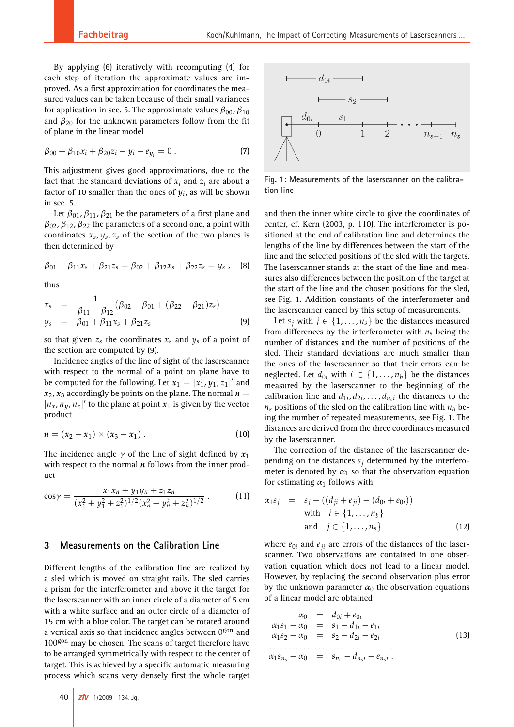By applying (6) iteratively with recomputing (4) for each step of iteration the approximate values are improved. As a first approximation for coordinates the measured values can be taken because of their small variances for application in sec. 5. The approximate values  $\beta_{00}$ ,  $\beta_{10}$ and  $\beta_{20}$  for the unknown parameters follow from the fit of plane in the linear model

$$
\beta_{00} + \beta_{10} x_i + \beta_{20} z_i - y_i - e_{y_i} = 0.
$$
 (7)

This adjustment gives good approximations, due to the fact that the standard deviations of  $x_i$  and  $z_i$  are about a factor of 10 smaller than the ones of  $y_i$ , as will be shown in sec. 5.

Let  $\beta_{01}, \beta_{11}, \beta_{21}$  be the parameters of a first plane and  $\beta_{02}$ ,  $\beta_{12}$ ,  $\beta_{22}$  the parameters of a second one, a point with coordinates  $x_s$ ,  $y_s$ ,  $z_s$  of the section of the two planes is then determined by

$$
\beta_{01} + \beta_{11}x_s + \beta_{21}z_s = \beta_{02} + \beta_{12}x_s + \beta_{22}z_s = y_s , \quad (8)
$$

thus

$$
x_s = \frac{1}{\beta_{11} - \beta_{12}} (\beta_{02} - \beta_{01} + (\beta_{22} - \beta_{21})z_s)
$$
  
\n
$$
y_s = \beta_{01} + \beta_{11}x_s + \beta_{21}z_s
$$
\n(9)

so that given  $z_s$  the coordinates  $x_s$  and  $y_s$  of a point of the section are computed by (9).

Incidence angles of the line of sight of the laserscanner with respect to the normal of a point on plane have to be computed for the following. Let  $x_1 = |x_1, y_1, z_1|'$  and  $x_2$ ,  $x_3$  accordingly be points on the plane. The normal  $n =$  $|n_x, n_y, n_z|'$  to the plane at point  $x_1$  is given by the vector product

$$
n = (x_2 - x_1) \times (x_3 - x_1).
$$
 (10)

The incidence angle  $\gamma$  of the line of sight defined by  $x_1$ with respect to the normal *n* follows from the inner product

$$
\cos \gamma = \frac{x_1 x_n + y_1 y_n + z_1 z_n}{(x_1^2 + y_1^2 + z_1^2)^{1/2} (x_n^2 + y_n^2 + z_n^2)^{1/2}} \,. \tag{11}
$$

# **3 Measurements on the Calibration Line**

Different lengths of the calibration line are realized by a sled which is moved on straight rails. The sled carries a prism for the interferometer and above it the target for the laserscanner with an inner circle of a diameter of 5 cm with a white surface and an outer circle of a diameter of 15 cm with a blue color. The target can be rotated around a vertical axis so that incidence angles between 0gon and 100gon may be chosen. The scans of target therefore have to be arranged symmetrically with respect to the center of target. This is achieved by a specific automatic measuring process which scans very densely first the whole target



**Fig. 1: Measurements of the laserscanner on the calibration line**

and then the inner white circle to give the coordinates of center, cf. Kern (2003, p. 110). The interferometer is positioned at the end of calibration line and determines the lengths of the line by differences between the start of the line and the selected positions of the sled with the targets. The laserscanner stands at the start of the line and measures also differences between the position of the target at the start of the line and the chosen positions for the sled, see Fig. 1. Addition constants of the interferometer and the laserscanner cancel by this setup of measurements.

Let  $s_j$  with  $j \in \{1, \ldots, n_s\}$  be the distances measured from differences by the interferometer with  $n<sub>s</sub>$  being the number of distances and the number of positions of the sled. Their standard deviations are much smaller than the ones of the laserscanner so that their errors can be neglected. Let  $d_{0i}$  with  $i \in \{1, \ldots, n_b\}$  be the distances measured by the laserscanner to the beginning of the calibration line and  $d_{1i}$ ,  $d_{2i}$ , ...,  $d_{n,i}$  the distances to the  $n_s$  positions of the sled on the calibration line with  $n_b$  being the number of repeated measurements, see Fig. 1. The distances are derived from the three coordinates measured by the laserscanner.

The correction of the distance of the laserscanner depending on the distances  $s_i$  determined by the interferometer is denoted by  $\alpha_1$  so that the observation equation for estimating  $\alpha_1$  follows with

$$
\alpha_1 s_j = s_j - ((d_{ji} + e_{ji}) - (d_{0i} + e_{0i}))
$$
  
with  $i \in \{1, ..., n_b\}$   
and  $j \in \{1, ..., n_s\}$  (12)

where  $e_{0i}$  and  $e_{ii}$  are errors of the distances of the laserscanner. Two observations are contained in one observation equation which does not lead to a linear model. However, by replacing the second observation plus error by the unknown parameter  $\alpha_0$  the observation equations of a linear model are obtained

$$
\alpha_0 = d_{0i} + e_{0i} \n\alpha_1 s_1 - \alpha_0 = s_1 - d_{1i} - e_{1i} \n\alpha_1 s_2 - \alpha_0 = s_2 - d_{2i} - e_{2i} \n... \n\alpha_1 s_{n_s} - \alpha_0 = s_{n_s} - d_{n_s i} - e_{n_s i} .
$$
\n(13)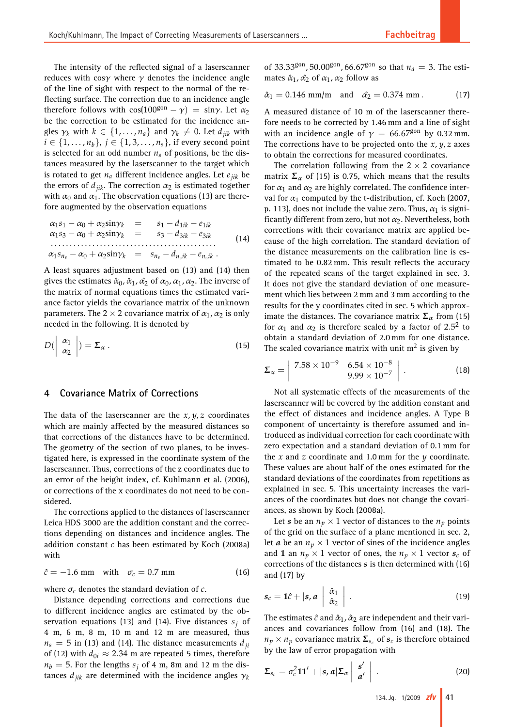The intensity of the reflected signal of a laserscanner reduces with cos $\gamma$  where  $\gamma$  denotes the incidence angle of the line of sight with respect to the normal of the reflecting surface. The correction due to an incidence angle therefore follows with  $cos(100^{\text{gon}} - \gamma) = sin\gamma$ . Let  $\alpha_2$ be the correction to be estimated for the incidence angles  $\gamma_k$  with  $k \in \{1, \ldots, n_a\}$  and  $\gamma_k \neq 0$ . Let  $d_{ijk}$  with *i* ∈ {1, . . . , *n*<sub>*b*</sub>}, *j* ∈ {1, 3, . . . , *n*<sub>*s*</sub>}, if every second point is selected for an odd number  $n<sub>s</sub>$  of positions, be the distances measured by the laserscanner to the target which is rotated to get  $n_a$  different incidence angles. Let  $e_{ijk}$  be the errors of  $d_{ijk}$ . The correction  $\alpha_2$  is estimated together with  $\alpha_0$  and  $\alpha_1$ . The observation equations (13) are therefore augmented by the observation equations

$$
\alpha_1 s_1 - \alpha_0 + \alpha_2 \sin \gamma_k = s_1 - d_{1ik} - e_{1ik} \n\alpha_1 s_3 - \alpha_0 + \alpha_2 \sin \gamma_k = s_3 - d_{3ik} - e_{3ik} \n... \n\alpha_1 s_{n_s} - \alpha_0 + \alpha_2 \sin \gamma_k = s_{n_s} - d_{n_sik} - e_{n_sik}
$$
\n(14)

A least squares adjustment based on (13) and (14) then gives the estimates  $\hat{\alpha}_0$ ,  $\hat{\alpha}_1$ ,  $\hat{\alpha}_2$  of  $\alpha_0$ ,  $\alpha_1$ ,  $\alpha_2$ . The inverse of the matrix of normal equations times the estimated variance factor yields the covariance matrix of the unknown parameters. The 2  $\times$  2 covariance matrix of  $\alpha_1, \alpha_2$  is only needed in the following. It is denoted by

$$
D\left(\begin{array}{c} \alpha_1 \\ \alpha_2 \end{array}\right) = \Sigma_{\alpha} \,. \tag{15}
$$

## **4 Covariance Matrix of Corrections**

The data of the laserscanner are the *x*, *y*, *z* coordinates which are mainly affected by the measured distances so that corrections of the distances have to be determined. The geometry of the section of two planes, to be investigated here, is expressed in the coordinate system of the laserscanner. Thus, corrections of the z coordinates due to an error of the height index, cf. Kuhlmann et al. (2006), or corrections of the x coordinates do not need to be considered.

The corrections applied to the distances of laserscanner Leica HDS 3000 are the addition constant and the corrections depending on distances and incidence angles. The addition constant *c* has been estimated by Koch (2008a) with

$$
\hat{c} = -1.6 \text{ mm} \quad \text{with} \quad \sigma_c = 0.7 \text{ mm} \tag{16}
$$

where  $\sigma_c$  denotes the standard deviation of  $c$ .

Distance depending corrections and corrections due to different incidence angles are estimated by the observation equations (13) and (14). Five distances  $s_i$  of 4 m, 6 m, 8 m, 10 m and 12 m are measured, thus  $n<sub>s</sub> = 5$  in (13) and (14). The distance measurements  $d<sub>ii</sub>$ of (12) with  $d_{0i} \approx 2.34$  m are repeated 5 times, therefore  $n_b = 5$ . For the lengths  $s_j$  of 4 m, 8m and 12 m the distances  $d_{ijk}$  are determined with the incidence angles  $\gamma_k$ 

of 33.33<sup>gon</sup>, 50.00<sup>gon</sup>, 66.67<sup>gon</sup> so that  $n_a = 3$ . The estimates  $\hat{\alpha}_1$ ,  $\hat{\alpha}_2$  of  $\alpha_1$ ,  $\alpha_2$  follow as

$$
\hat{\alpha}_1 = 0.146
$$
 mm/m and  $\hat{\alpha}_2 = 0.374$  mm. (17)

A measured distance of 10 m of the laserscanner therefore needs to be corrected by 1.46 mm and a line of sight with an incidence angle of  $\gamma = 66.67^{90n}$  by 0.32 mm. The corrections have to be projected onto the *x*, *y*, *z* axes to obtain the corrections for measured coordinates.

The correlation following from the  $2 \times 2$  covariance matrix  $\Sigma_{\alpha}$  of (15) is 0.75, which means that the results for  $\alpha_1$  and  $\alpha_2$  are highly correlated. The confidence interval for  $\alpha_1$  computed by the t-distribution, cf. Koch (2007, p. 113), does not include the value zero. Thus,  $\alpha_1$  is significantly different from zero, but not  $\alpha_2$ . Nevertheless, both corrections with their covariance matrix are applied because of the high correlation. The standard deviation of the distance measurements on the calibration line is estimated to be 0.82 mm. This result reflects the accuracy of the repeated scans of the target explained in sec. 3. It does not give the standard deviation of one measurement which lies between 2 mm and 3 mm according to the results for the y coordinates cited in sec. 5 which approximate the distances. The covariance matrix  $\Sigma_{\alpha}$  from (15) for  $\alpha_1$  and  $\alpha_2$  is therefore scaled by a factor of 2.5<sup>2</sup> to obtain a standard deviation of 2.0 mm for one distance. The scaled covariance matrix with unit  $m<sup>2</sup>$  is given by

$$
\Sigma_{\alpha} = \begin{vmatrix} 7.58 \times 10^{-9} & 6.54 \times 10^{-8} \\ 9.99 \times 10^{-7} \end{vmatrix} . \tag{18}
$$

Not all systematic effects of the measurements of the laserscanner will be covered by the addition constant and the effect of distances and incidence angles. A Type B component of uncertainty is therefore assumed and introduced as individual correction for each coordinate with zero expectation and a standard deviation of 0.1 mm for the *x* and *z* coordinate and 1.0 mm for the *y* coordinate. These values are about half of the ones estimated for the standard deviations of the coordinates from repetitions as explained in sec. 5. This uncertainty increases the variances of the coordinates but does not change the covariances, as shown by Koch (2008a).

Let *s* be an  $n_p \times 1$  vector of distances to the  $n_p$  points of the grid on the surface of a plane mentioned in sec. 2, let *a* be an  $n_p \times 1$  vector of sines of the incidence angles and **1** an  $n_p \times 1$  vector of ones, the  $n_p \times 1$  vector  $s_c$  of corrections of the distances *s* is then determined with (16) and (17) by

$$
s_c = \mathbf{1}\hat{c} + |s, a| \left| \begin{array}{c} \hat{\alpha}_1 \\ \hat{\alpha}_2 \end{array} \right| \,. \tag{19}
$$

The estimates  $\hat{c}$  and  $\hat{\alpha}_1$ ,  $\hat{\alpha}_2$  are independent and their variances and covariances follow from (16) and (18). The  $n_p \times n_p$  covariance matrix  $\Sigma_{s_c}$  of  $s_c$  is therefore obtained by the law of error propagation with

$$
\Sigma_{s_c} = \sigma_c^2 \mathbf{1} \mathbf{1}' + |s, a| \Sigma_{\alpha} \begin{vmatrix} s' \\ a' \end{vmatrix} . \tag{20}
$$

134. Jg. 1/2009 **zfv 41**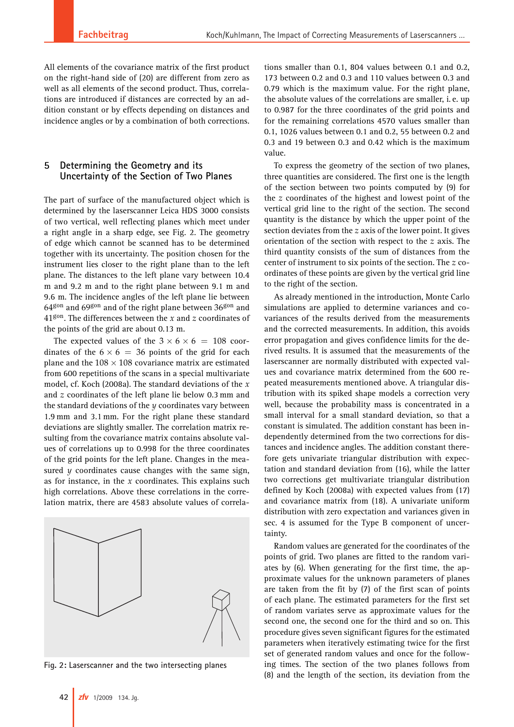All elements of the covariance matrix of the first product on the right-hand side of (20) are different from zero as well as all elements of the second product. Thus, correlations are introduced if distances are corrected by an addition constant or by effects depending on distances and incidence angles or by a combination of both corrections.

## **5 Determining the Geometry and its Uncertainty of the Section of Two Planes**

The part of surface of the manufactured object which is determined by the laserscanner Leica HDS 3000 consists of two vertical, well reflecting planes which meet under a right angle in a sharp edge, see Fig. 2. The geometry of edge which cannot be scanned has to be determined together with its uncertainty. The position chosen for the instrument lies closer to the right plane than to the left plane. The distances to the left plane vary between 10.4 m and 9.2 m and to the right plane between 9.1 m and 9.6 m. The incidence angles of the left plane lie between  $64<sup>gon</sup>$  and  $69<sup>gon</sup>$  and of the right plane between  $36<sup>gon</sup>$  and 41gon. The differences between the *x* and *z* coordinates of the points of the grid are about 0.13 m.

The expected values of the  $3 \times 6 \times 6 = 108$  coordinates of the  $6 \times 6 = 36$  points of the grid for each plane and the  $108 \times 108$  covariance matrix are estimated from 600 repetitions of the scans in a special multivariate model, cf. Koch (2008a). The standard deviations of the *x* and *z* coordinates of the left plane lie below 0.3 mm and the standard deviations of the *y* coordinates vary between 1.9 mm and 3.1 mm. For the right plane these standard deviations are slightly smaller. The correlation matrix resulting from the covariance matrix contains absolute values of correlations up to 0.998 for the three coordinates of the grid points for the left plane. Changes in the measured *y* coordinates cause changes with the same sign, as for instance, in the *x* coordinates. This explains such high correlations. Above these correlations in the correlation matrix, there are 4583 absolute values of correla-



**Fig. 2: Laserscanner and the two intersecting planes**

tions smaller than 0.1, 804 values between 0.1 and 0.2, 173 between 0.2 and 0.3 and 110 values between 0.3 and 0.79 which is the maximum value. For the right plane, the absolute values of the correlations are smaller, i. e. up to 0.987 for the three coordinates of the grid points and for the remaining correlations 4570 values smaller than 0.1, 1026 values between 0.1 and 0.2, 55 between 0.2 and 0.3 and 19 between 0.3 and 0.42 which is the maximum value.

To express the geometry of the section of two planes, three quantities are considered. The first one is the length of the section between two points computed by (9) for the *z* coordinates of the highest and lowest point of the vertical grid line to the right of the section. The second quantity is the distance by which the upper point of the section deviates from the *z* axis of the lower point. It gives orientation of the section with respect to the *z* axis. The third quantity consists of the sum of distances from the center of instrument to six points of the section. The *z* coordinates of these points are given by the vertical grid line to the right of the section.

As already mentioned in the introduction, Monte Carlo simulations are applied to determine variances and covariances of the results derived from the measurements and the corrected measurements. In addition, this avoids error propagation and gives confidence limits for the derived results. It is assumed that the measurements of the laserscanner are normally distributed with expected values and covariance matrix determined from the 600 repeated measurements mentioned above. A triangular distribution with its spiked shape models a correction very well, because the probability mass is concentrated in a small interval for a small standard deviation, so that a constant is simulated. The addition constant has been independently determined from the two corrections for distances and incidence angles. The addition constant therefore gets univariate triangular distribution with expectation and standard deviation from (16), while the latter two corrections get multivariate triangular distribution defined by Koch (2008a) with expected values from (17) and covariance matrix from (18). A univariate uniform distribution with zero expectation and variances given in sec. 4 is assumed for the Type B component of uncertainty.

Random values are generated for the coordinates of the points of grid. Two planes are fitted to the random variates by (6). When generating for the first time, the approximate values for the unknown parameters of planes are taken from the fit by (7) of the first scan of points of each plane. The estimated parameters for the first set of random variates serve as approximate values for the second one, the second one for the third and so on. This procedure gives seven significant figures for the estimated parameters when iteratively estimating twice for the first set of generated random values and once for the following times. The section of the two planes follows from (8) and the length of the section, its deviation from the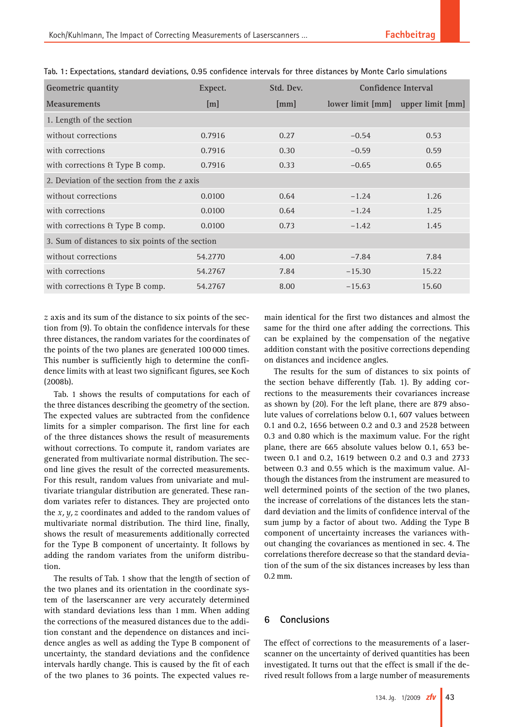| <b>Geometric quantity</b>                        | Expect. | Std. Dev. | Confidence Interval               |       |
|--------------------------------------------------|---------|-----------|-----------------------------------|-------|
| <b>Measurements</b>                              | [m]     | [mm]      | lower limit [mm] upper limit [mm] |       |
| 1. Length of the section                         |         |           |                                   |       |
| without corrections                              | 0.7916  | 0.27      | $-0.54$                           | 0.53  |
| with corrections                                 | 0.7916  | 0.30      | $-0.59$                           | 0.59  |
| with corrections & Type B comp.                  | 0.7916  | 0.33      | $-0.65$                           | 0.65  |
| 2. Deviation of the section from the z axis      |         |           |                                   |       |
| without corrections                              | 0.0100  | 0.64      | $-1.24$                           | 1.26  |
| with corrections                                 | 0.0100  | 0.64      | $-1.24$                           | 1.25  |
| with corrections & Type B comp.                  | 0.0100  | 0.73      | $-1.42$                           | 1.45  |
| 3. Sum of distances to six points of the section |         |           |                                   |       |
| without corrections                              | 54.2770 | 4.00      | $-7.84$                           | 7.84  |
| with corrections                                 | 54.2767 | 7.84      | $-15.30$                          | 15.22 |
| with corrections & Type B comp.                  | 54.2767 | 8.00      | $-15.63$                          | 15.60 |

**Tab. 1: Expectations, standard deviations, 0.95 confidence intervals for three distances by Monte Carlo simulations**

*z* axis and its sum of the distance to six points of the section from (9). To obtain the confidence intervals for these three distances, the random variates for the coordinates of the points of the two planes are generated 100 000 times. This number is sufficiently high to determine the confidence limits with at least two significant figures, see Koch (2008b).

Tab. 1 shows the results of computations for each of the three distances describing the geometry of the section. The expected values are subtracted from the confidence limits for a simpler comparison. The first line for each of the three distances shows the result of measurements without corrections. To compute it, random variates are generated from multivariate normal distribution. The second line gives the result of the corrected measurements. For this result, random values from univariate and multivariate triangular distribution are generated. These random variates refer to distances. They are projected onto the *x*, *y*, *z* coordinates and added to the random values of multivariate normal distribution. The third line, finally, shows the result of measurements additionally corrected for the Type B component of uncertainty. It follows by adding the random variates from the uniform distribution.

The results of Tab. 1 show that the length of section of the two planes and its orientation in the coordinate system of the laserscanner are very accurately determined with standard deviations less than 1 mm. When adding the corrections of the measured distances due to the addition constant and the dependence on distances and incidence angles as well as adding the Type B component of uncertainty, the standard deviations and the confidence intervals hardly change. This is caused by the fit of each of the two planes to 36 points. The expected values re-

main identical for the first two distances and almost the same for the third one after adding the corrections. This can be explained by the compensation of the negative addition constant with the positive corrections depending on distances and incidence angles.

The results for the sum of distances to six points of the section behave differently (Tab. 1). By adding corrections to the measurements their covariances increase as shown by (20). For the left plane, there are 879 absolute values of correlations below 0.1, 607 values between 0.1 and 0.2, 1656 between 0.2 and 0.3 and 2528 between 0.3 and 0.80 which is the maximum value. For the right plane, there are 665 absolute values below 0.1, 653 between 0.1 and 0.2, 1619 between 0.2 and 0.3 and 2733 between 0.3 and 0.55 which is the maximum value. Although the distances from the instrument are measured to well determined points of the section of the two planes, the increase of correlations of the distances lets the standard deviation and the limits of confidence interval of the sum jump by a factor of about two. Adding the Type B component of uncertainty increases the variances without changing the covariances as mentioned in sec. 4. The correlations therefore decrease so that the standard deviation of the sum of the six distances increases by less than 0.2 mm.

# **6 Conclusions**

The effect of corrections to the measurements of a laserscanner on the uncertainty of derived quantities has been investigated. It turns out that the effect is small if the derived result follows from a large number of measurements